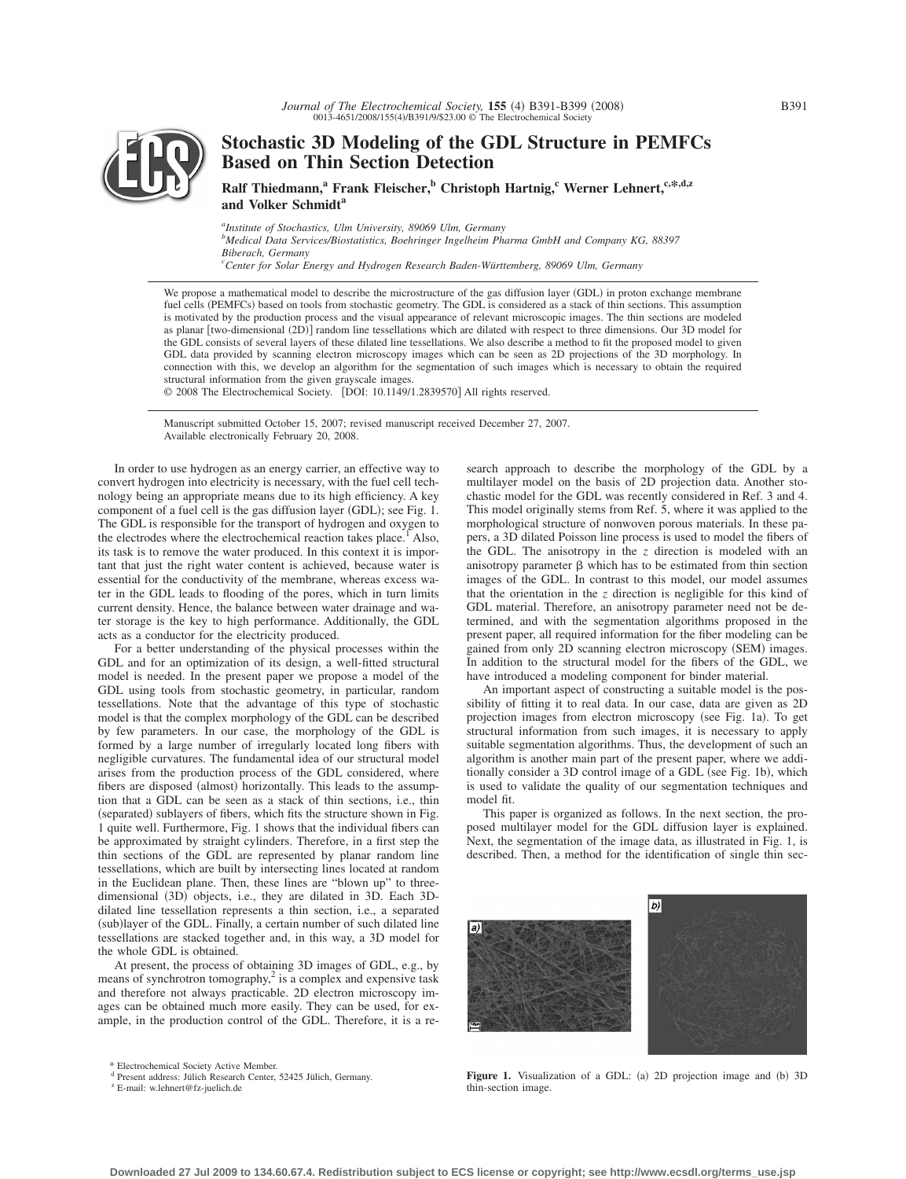

# **Stochastic 3D Modeling of the GDL Structure in PEMFCs Based on Thin Section Detection**

**Ralf Thiedmann,<sup>a</sup> Frank Fleischer,**<sup>b</sup> Christoph Hartnig,<sup>c</sup> Werner Lehnert,<sup>c,\*,d,z</sup> and Volker Schmidt<sup>a</sup>

*a Institute of Stochastics, Ulm University, 89069 Ulm, Germany b Medical Data Services/Biostatistics, Boehringer Ingelheim Pharma GmbH and Company KG, 88397 Biberach, Germany c Center for Solar Energy and Hydrogen Research Baden-Württemberg, 89069 Ulm, Germany*

We propose a mathematical model to describe the microstructure of the gas diffusion layer (GDL) in proton exchange membrane fuel cells (PEMFCs) based on tools from stochastic geometry. The GDL is considered as a stack of thin sections. This assumption is motivated by the production process and the visual appearance of relevant microscopic images. The thin sections are modeled as planar [two-dimensional (2D)] random line tessellations which are dilated with respect to three dimensions. Our 3D model for the GDL consists of several layers of these dilated line tessellations. We also describe a method to fit the proposed model to given GDL data provided by scanning electron microscopy images which can be seen as 2D projections of the 3D morphology. In connection with this, we develop an algorithm for the segmentation of such images which is necessary to obtain the required structural information from the given grayscale images.

© 2008 The Electrochemical Society. [DOI: 10.1149/1.2839570] All rights reserved.

Manuscript submitted October 15, 2007; revised manuscript received December 27, 2007. Available electronically February 20, 2008.

In order to use hydrogen as an energy carrier, an effective way to convert hydrogen into electricity is necessary, with the fuel cell technology being an appropriate means due to its high efficiency. A key component of a fuel cell is the gas diffusion layer (GDL); see Fig. 1. The GDL is responsible for the transport of hydrogen and oxygen to the electrodes where the electrochemical reaction takes place.<sup>1</sup> Also, its task is to remove the water produced. In this context it is important that just the right water content is achieved, because water is essential for the conductivity of the membrane, whereas excess water in the GDL leads to flooding of the pores, which in turn limits current density. Hence, the balance between water drainage and water storage is the key to high performance. Additionally, the GDL acts as a conductor for the electricity produced.

For a better understanding of the physical processes within the GDL and for an optimization of its design, a well-fitted structural model is needed. In the present paper we propose a model of the GDL using tools from stochastic geometry, in particular, random tessellations. Note that the advantage of this type of stochastic model is that the complex morphology of the GDL can be described by few parameters. In our case, the morphology of the GDL is formed by a large number of irregularly located long fibers with negligible curvatures. The fundamental idea of our structural model arises from the production process of the GDL considered, where fibers are disposed (almost) horizontally. This leads to the assumption that a GDL can be seen as a stack of thin sections, i.e., thin (separated) sublayers of fibers, which fits the structure shown in Fig. 1 quite well. Furthermore, Fig. 1 shows that the individual fibers can be approximated by straight cylinders. Therefore, in a first step the thin sections of the GDL are represented by planar random line tessellations, which are built by intersecting lines located at random in the Euclidean plane. Then, these lines are "blown up" to threedimensional (3D) objects, i.e., they are dilated in 3D. Each 3Ddilated line tessellation represents a thin section, i.e., a separated (sub)layer of the GDL. Finally, a certain number of such dilated line tessellations are stacked together and, in this way, a 3D model for the whole GDL is obtained.

At present, the process of obtaining 3D images of GDL, e.g., by means of synchrotron tomography, $\frac{2}{3}$  is a complex and expensive task and therefore not always practicable. 2D electron microscopy images can be obtained much more easily. They can be used, for example, in the production control of the GDL. Therefore, it is a re-

search approach to describe the morphology of the GDL by a multilayer model on the basis of 2D projection data. Another stochastic model for the GDL was recently considered in Ref. 3 and 4. This model originally stems from Ref. 5, where it was applied to the morphological structure of nonwoven porous materials. In these papers, a 3D dilated Poisson line process is used to model the fibers of the GDL. The anisotropy in the *z* direction is modeled with an anisotropy parameter  $\beta$  which has to be estimated from thin section images of the GDL. In contrast to this model, our model assumes that the orientation in the *z* direction is negligible for this kind of GDL material. Therefore, an anisotropy parameter need not be determined, and with the segmentation algorithms proposed in the present paper, all required information for the fiber modeling can be gained from only 2D scanning electron microscopy (SEM) images. In addition to the structural model for the fibers of the GDL, we have introduced a modeling component for binder material.

An important aspect of constructing a suitable model is the possibility of fitting it to real data. In our case, data are given as 2D projection images from electron microscopy (see Fig. 1a). To get structural information from such images, it is necessary to apply suitable segmentation algorithms. Thus, the development of such an algorithm is another main part of the present paper, where we additionally consider a 3D control image of a GDL (see Fig. 1b), which is used to validate the quality of our segmentation techniques and model fit.

This paper is organized as follows. In the next section, the proposed multilayer model for the GDL diffusion layer is explained. Next, the segmentation of the image data, as illustrated in Fig. 1, is described. Then, a method for the identification of single thin sec-



Figure 1. Visualization of a GDL: (a) 2D projection image and (b) 3D thin-section image.

<sup>\*</sup> Electrochemical Society Active Member.

Present address: Jülich Research Center, 52425 Jülich, Germany.

<sup>z</sup> E-mail: w.lehnert@fz-juelich.de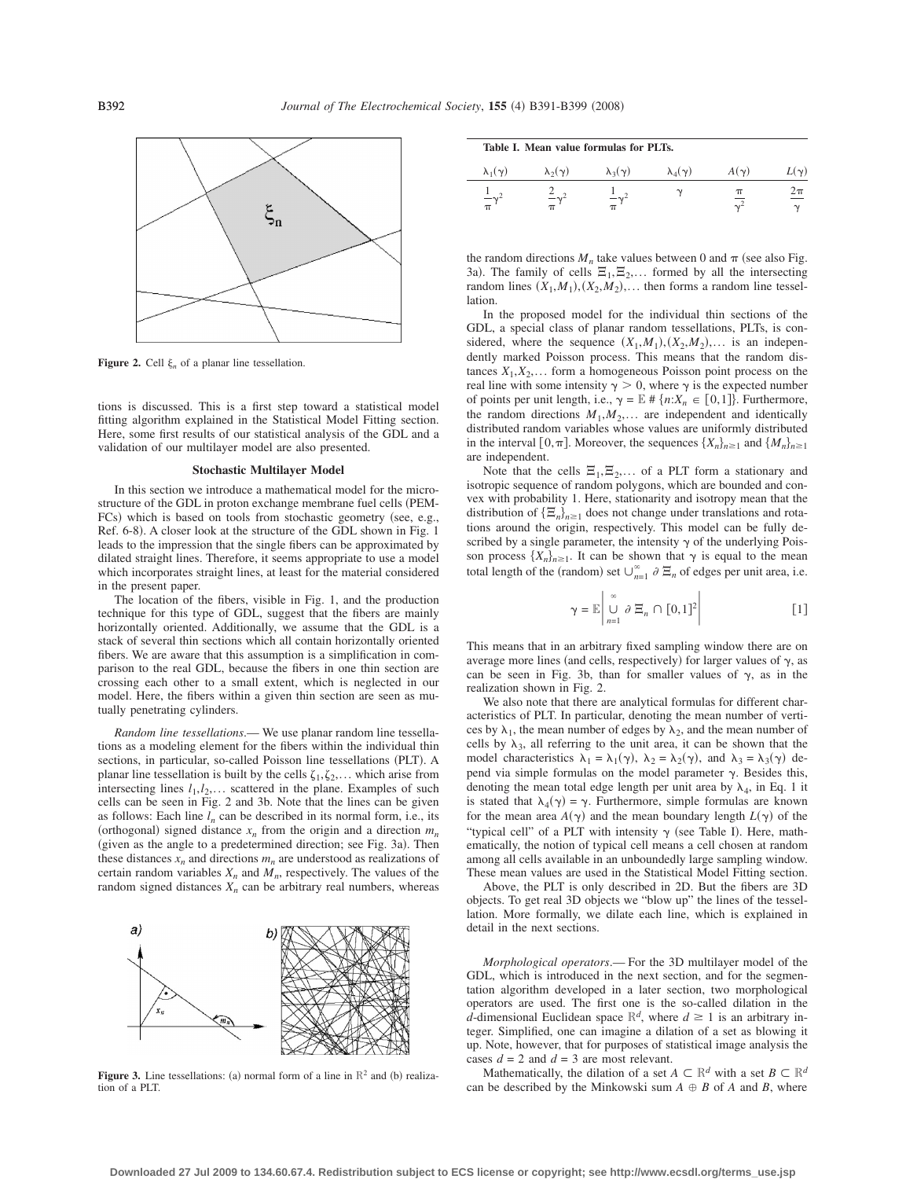

**Figure 2.** Cell  $\xi_n$  of a planar line tessellation.

tions is discussed. This is a first step toward a statistical model fitting algorithm explained in the Statistical Model Fitting section. Here, some first results of our statistical analysis of the GDL and a validation of our multilayer model are also presented.

## **Stochastic Multilayer Model**

In this section we introduce a mathematical model for the microstructure of the GDL in proton exchange membrane fuel cells (PEM-FCs) which is based on tools from stochastic geometry (see, e.g., Ref. 6-8). A closer look at the structure of the GDL shown in Fig. 1 leads to the impression that the single fibers can be approximated by dilated straight lines. Therefore, it seems appropriate to use a model which incorporates straight lines, at least for the material considered in the present paper.

The location of the fibers, visible in Fig. 1, and the production technique for this type of GDL, suggest that the fibers are mainly horizontally oriented. Additionally, we assume that the GDL is a stack of several thin sections which all contain horizontally oriented fibers. We are aware that this assumption is a simplification in comparison to the real GDL, because the fibers in one thin section are crossing each other to a small extent, which is neglected in our model. Here, the fibers within a given thin section are seen as mutually penetrating cylinders.

*Random line tessellations*.— We use planar random line tessellations as a modeling element for the fibers within the individual thin sections, in particular, so-called Poisson line tessellations (PLT). A planar line tessellation is built by the cells  $\zeta_1, \zeta_2, \ldots$  which arise from intersecting lines  $l_1, l_2, \ldots$  scattered in the plane. Examples of such cells can be seen in Fig. 2 and 3b. Note that the lines can be given as follows: Each line  $l_n$  can be described in its normal form, i.e., its (orthogonal) signed distance  $x_n$  from the origin and a direction  $m_n$ (given as the angle to a predetermined direction; see Fig. 3a). Then these distances  $x_n$  and directions  $m_n$  are understood as realizations of certain random variables  $X_n$  and  $M_n$ , respectively. The values of the random signed distances  $X_n$  can be arbitrary real numbers, whereas

**Figure 3.** Line tessellations: (a) normal form of a line in  $\mathbb{R}^2$  and (b) realization of a PLT.

| Table I. Mean value formulas for PLTs. |                     |                     |                     |                                |                 |  |  |
|----------------------------------------|---------------------|---------------------|---------------------|--------------------------------|-----------------|--|--|
| $\lambda_1(\gamma)$                    | $\lambda_2(\gamma)$ | $\lambda_3(\gamma)$ | $\lambda_4(\gamma)$ | $A(\gamma)$                    | $L(\gamma)$     |  |  |
| $\frac{1}{\pi} \gamma^2$               | $\tilde{=}\gamma^2$ | $-\gamma^2$         |                     | $\pi$<br>$\overline{\sqrt{2}}$ | $\frac{2\pi}{}$ |  |  |

the random directions  $M<sub>n</sub>$  take values between 0 and  $\pi$  (see also Fig. 3a). The family of cells  $\Xi_1, \Xi_2,...$  formed by all the intersecting random lines  $(X_1, M_1), (X_2, M_2), \ldots$  then forms a random line tessellation.

In the proposed model for the individual thin sections of the GDL, a special class of planar random tessellations, PLTs, is considered, where the sequence  $(X_1, M_1), (X_2, M_2), \ldots$  is an independently marked Poisson process. This means that the random distances  $X_1, X_2, \ldots$  form a homogeneous Poisson point process on the real line with some intensity  $\gamma > 0$ , where  $\gamma$  is the expected number of points per unit length, i.e.,  $\gamma = \mathbb{E} \# \{ n : X_n \in [0,1] \}$ . Furthermore, the random directions  $M_1, M_2, \ldots$  are independent and identically distributed random variables whose values are uniformly distributed in the interval  $[0, \pi]$ . Moreover, the sequences  $\{X_n\}_{n\geq 1}$  and  $\{M_n\}_{n\geq 1}$ are independent.

Note that the cells  $\Xi_1, \Xi_2,...$  of a PLT form a stationary and isotropic sequence of random polygons, which are bounded and convex with probability 1. Here, stationarity and isotropy mean that the distribution of  $\{\Xi_n\}_{n\geq 1}$  does not change under translations and rotations around the origin, respectively. This model can be fully described by a single parameter, the intensity  $\gamma$  of the underlying Poisson process  $\{X_n\}_{n\geq 1}$ . It can be shown that  $\gamma$  is equal to the mean total length of the (random) set  $\bigcup_{n=1}^{\infty} \partial \Xi_n$  of edges per unit area, i.e.

$$
\gamma = \mathbb{E}\left[\bigcup_{n=1}^{\infty} \partial \Xi_n \cap [0,1]^2\right]
$$
 [1]

This means that in an arbitrary fixed sampling window there are on average more lines (and cells, respectively) for larger values of  $\gamma$ , as can be seen in Fig. 3b, than for smaller values of  $\gamma$ , as in the realization shown in Fig. 2.

We also note that there are analytical formulas for different characteristics of PLT. In particular, denoting the mean number of vertices by  $\lambda_1$ , the mean number of edges by  $\lambda_2$ , and the mean number of cells by  $\lambda_3$ , all referring to the unit area, it can be shown that the model characteristics  $\lambda_1 = \lambda_1(\gamma)$ ,  $\lambda_2 = \lambda_2(\gamma)$ , and  $\lambda_3 = \lambda_3(\gamma)$  depend via simple formulas on the model parameter  $\gamma$ . Besides this, denoting the mean total edge length per unit area by  $\lambda_4$ , in Eq. 1 it is stated that  $\lambda_4(\gamma) = \gamma$ . Furthermore, simple formulas are known for the mean area  $A(\gamma)$  and the mean boundary length  $L(\gamma)$  of the "typical cell" of a PLT with intensity  $\gamma$  (see Table I). Here, mathematically, the notion of typical cell means a cell chosen at random among all cells available in an unboundedly large sampling window. These mean values are used in the Statistical Model Fitting section.

Above, the PLT is only described in 2D. But the fibers are 3D objects. To get real 3D objects we "blow up" the lines of the tessellation. More formally, we dilate each line, which is explained in detail in the next sections.

*Morphological operators*.— For the 3D multilayer model of the GDL, which is introduced in the next section, and for the segmentation algorithm developed in a later section, two morphological operators are used. The first one is the so-called dilation in the *d*-dimensional Euclidean space  $\mathbb{R}^d$ , where  $d \ge 1$  is an arbitrary integer. Simplified, one can imagine a dilation of a set as blowing it up. Note, however, that for purposes of statistical image analysis the cases  $d = 2$  and  $d = 3$  are most relevant.

Mathematically, the dilation of a set  $A \subset \mathbb{R}^d$  with a set  $B \subset \mathbb{R}^d$ can be described by the Minkowski sum  $A \oplus B$  of  $A$  and  $B$ , where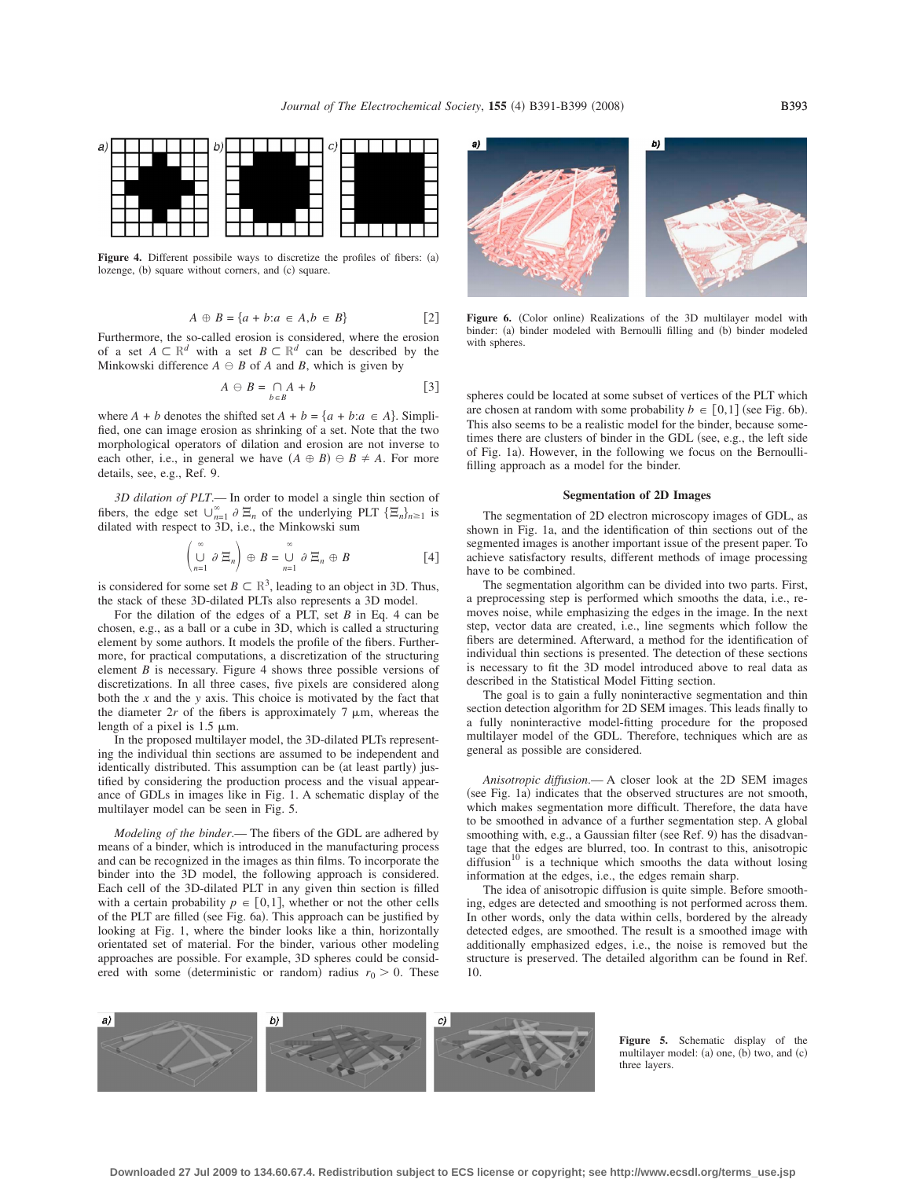

**Figure 4.** Different possibile ways to discretize the profiles of fibers: (a) lozenge, (b) square without corners, and (c) square.

$$
A \oplus B = \{a + b : a \in A, b \in B\}
$$
 [2]

Furthermore, the so-called erosion is considered, where the erosion of a set  $A \subset \mathbb{R}^d$  with a set  $B \subset \mathbb{R}^d$  can be described by the Minkowski difference  $A \oplus B$  of  $A$  and  $B$ , which is given by

$$
A \ominus B = \bigcap_{b \in B} A + b \tag{3}
$$

where  $A + b$  denotes the shifted set  $A + b = \{a + b : a \in A\}$ . Simplified, one can image erosion as shrinking of a set. Note that the two morphological operators of dilation and erosion are not inverse to each other, i.e., in general we have  $(A \oplus B) \ominus B \neq A$ . For more details, see, e.g., Ref. 9.

*3D dilation of PLT*.— In order to model a single thin section of fibers, the edge set  $\bigcup_{n=1}^{\infty} \partial \Xi_n$  of the underlying PLT  $\{\Xi_n\}_{n\geq 1}$  is dilated with respect to 3D, i.e., the Minkowski sum

$$
\begin{pmatrix} \infty \\ \bigcup_{n=1}^{\infty} \partial \Xi_n \end{pmatrix} \oplus B = \bigcup_{n=1}^{\infty} \partial \Xi_n \oplus B \tag{4}
$$

is considered for some set  $B \subset \mathbb{R}^3$ , leading to an object in 3D. Thus, the stack of these 3D-dilated PLTs also represents a 3D model.

For the dilation of the edges of a PLT, set *B* in Eq. 4 can be chosen, e.g., as a ball or a cube in 3D, which is called a structuring element by some authors. It models the profile of the fibers. Furthermore, for practical computations, a discretization of the structuring element *B* is necessary. Figure 4 shows three possible versions of discretizations. In all three cases, five pixels are considered along both the *x* and the *y* axis. This choice is motivated by the fact that the diameter  $2r$  of the fibers is approximately 7  $\mu$ m, whereas the length of a pixel is  $1.5 \mu m$ .

In the proposed multilayer model, the 3D-dilated PLTs representing the individual thin sections are assumed to be independent and identically distributed. This assumption can be (at least partly) justified by considering the production process and the visual appearance of GDLs in images like in Fig. 1. A schematic display of the multilayer model can be seen in Fig. 5.

*Modeling of the binder*.— The fibers of the GDL are adhered by means of a binder, which is introduced in the manufacturing process and can be recognized in the images as thin films. To incorporate the binder into the 3D model, the following approach is considered. Each cell of the 3D-dilated PLT in any given thin section is filled with a certain probability  $p \in [0,1]$ , whether or not the other cells of the PLT are filled (see Fig. 6a). This approach can be justified by looking at Fig. 1, where the binder looks like a thin, horizontally orientated set of material. For the binder, various other modeling approaches are possible. For example, 3D spheres could be considered with some (deterministic or random) radius  $r_0 > 0$ . These



Figure 6. (Color online) Realizations of the 3D multilayer model with binder: (a) binder modeled with Bernoulli filling and (b) binder modeled with spheres.

spheres could be located at some subset of vertices of the PLT which are chosen at random with some probability  $b \in [0,1]$  (see Fig. 6b). This also seems to be a realistic model for the binder, because sometimes there are clusters of binder in the GDL (see, e.g., the left side of Fig. 1a). However, in the following we focus on the Bernoullifilling approach as a model for the binder.

## **Segmentation of 2D Images**

The segmentation of 2D electron microscopy images of GDL, as shown in Fig. 1a, and the identification of thin sections out of the segmented images is another important issue of the present paper. To achieve satisfactory results, different methods of image processing have to be combined.

The segmentation algorithm can be divided into two parts. First, a preprocessing step is performed which smooths the data, i.e., removes noise, while emphasizing the edges in the image. In the next step, vector data are created, i.e., line segments which follow the fibers are determined. Afterward, a method for the identification of individual thin sections is presented. The detection of these sections is necessary to fit the 3D model introduced above to real data as described in the Statistical Model Fitting section.

The goal is to gain a fully noninteractive segmentation and thin section detection algorithm for 2D SEM images. This leads finally to a fully noninteractive model-fitting procedure for the proposed multilayer model of the GDL. Therefore, techniques which are as general as possible are considered.

*Anisotropic diffusion*.— A closer look at the 2D SEM images (see Fig. 1a) indicates that the observed structures are not smooth, which makes segmentation more difficult. Therefore, the data have to be smoothed in advance of a further segmentation step. A global smoothing with, e.g., a Gaussian filter (see Ref. 9) has the disadvantage that the edges are blurred, too. In contrast to this, anisotropic  $diffusion<sup>10</sup>$  is a technique which smooths the data without losing information at the edges, i.e., the edges remain sharp.

The idea of anisotropic diffusion is quite simple. Before smoothing, edges are detected and smoothing is not performed across them. In other words, only the data within cells, bordered by the already detected edges, are smoothed. The result is a smoothed image with additionally emphasized edges, i.e., the noise is removed but the structure is preserved. The detailed algorithm can be found in Ref. 10.



**Figure 5.** Schematic display of the multilayer model: (a) one, (b) two, and (c) three layers.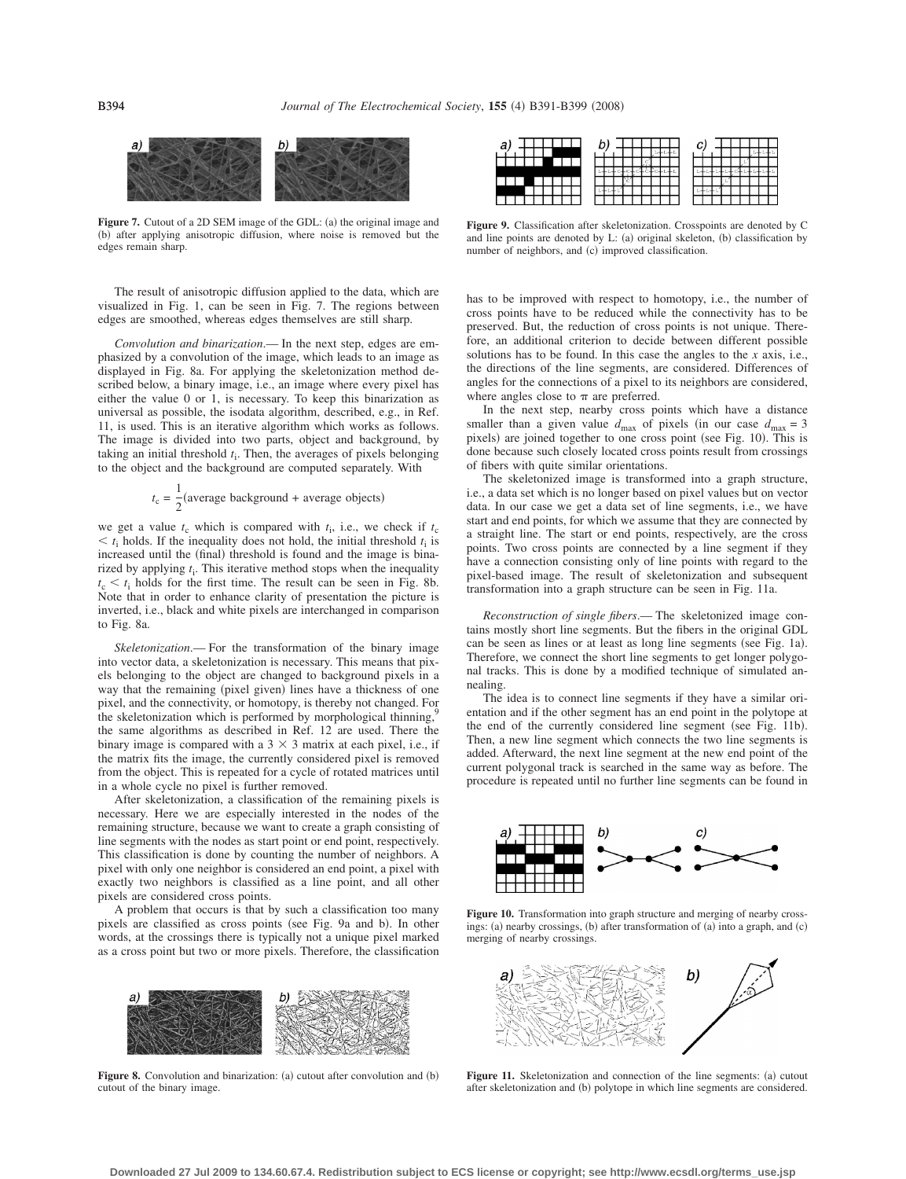**B394** *Journal of The Electrochemical Society*, **155** (4) B391-B399 (2008)



**Figure 7.** Cutout of a 2D SEM image of the GDL: (a) the original image and (b) after applying anisotropic diffusion, where noise is removed but the edges remain sharp.

The result of anisotropic diffusion applied to the data, which are visualized in Fig. 1, can be seen in Fig. 7. The regions between edges are smoothed, whereas edges themselves are still sharp.

*Convolution and binarization*.— In the next step, edges are emphasized by a convolution of the image, which leads to an image as displayed in Fig. 8a. For applying the skeletonization method described below, a binary image, i.e., an image where every pixel has either the value 0 or 1, is necessary. To keep this binarization as universal as possible, the isodata algorithm, described, e.g., in Ref. 11, is used. This is an iterative algorithm which works as follows. The image is divided into two parts, object and background, by taking an initial threshold  $t_i$ . Then, the averages of pixels belonging to the object and the background are computed separately. With

$$
t_c = \frac{1}{2}
$$
(average background + average objects)

we get a value  $t_c$  which is compared with  $t_i$ , i.e., we check if  $t_c$  $< t<sub>i</sub>$  holds. If the inequality does not hold, the initial threshold  $t<sub>i</sub>$  is increased until the (final) threshold is found and the image is binarized by applying  $t_i$ . This iterative method stops when the inequality  $t_c < t_i$  holds for the first time. The result can be seen in Fig. 8b. Note that in order to enhance clarity of presentation the picture is inverted, i.e., black and white pixels are interchanged in comparison to Fig. 8a.

*Skeletonization*.— For the transformation of the binary image into vector data, a skeletonization is necessary. This means that pixels belonging to the object are changed to background pixels in a way that the remaining (pixel given) lines have a thickness of one pixel, and the connectivity, or homotopy, is thereby not changed. For the skeletonization which is performed by morphological thinning, the same algorithms as described in Ref. 12 are used. There the binary image is compared with a  $3 \times 3$  matrix at each pixel, i.e., if the matrix fits the image, the currently considered pixel is removed from the object. This is repeated for a cycle of rotated matrices until in a whole cycle no pixel is further removed.

After skeletonization, a classification of the remaining pixels is necessary. Here we are especially interested in the nodes of the remaining structure, because we want to create a graph consisting of line segments with the nodes as start point or end point, respectively. This classification is done by counting the number of neighbors. A pixel with only one neighbor is considered an end point, a pixel with exactly two neighbors is classified as a line point, and all other pixels are considered cross points.

A problem that occurs is that by such a classification too many pixels are classified as cross points (see Fig. 9a and b). In other words, at the crossings there is typically not a unique pixel marked as a cross point but two or more pixels. Therefore, the classification



Figure 8. Convolution and binarization: (a) cutout after convolution and (b) cutout of the binary image.

| а |         |                                        |
|---|---------|----------------------------------------|
|   |         | - 1                                    |
|   | v.<br>v | - 1<br>w<br>×<br>v<br>w<br>w<br>$\sim$ |
|   |         |                                        |
|   |         |                                        |
|   |         |                                        |

**Figure 9.** Classification after skeletonization. Crosspoints are denoted by C and line points are denoted by L: (a) original skeleton, (b) classification by number of neighbors, and (c) improved classification.

has to be improved with respect to homotopy, i.e., the number of cross points have to be reduced while the connectivity has to be preserved. But, the reduction of cross points is not unique. Therefore, an additional criterion to decide between different possible solutions has to be found. In this case the angles to the *x* axis, i.e., the directions of the line segments, are considered. Differences of angles for the connections of a pixel to its neighbors are considered, where angles close to  $\pi$  are preferred.

In the next step, nearby cross points which have a distance smaller than a given value  $d_{\text{max}}$  of pixels (in our case  $d_{\text{max}} = 3$ pixels) are joined together to one cross point (see Fig. 10). This is done because such closely located cross points result from crossings of fibers with quite similar orientations.

The skeletonized image is transformed into a graph structure, i.e., a data set which is no longer based on pixel values but on vector data. In our case we get a data set of line segments, i.e., we have start and end points, for which we assume that they are connected by a straight line. The start or end points, respectively, are the cross points. Two cross points are connected by a line segment if they have a connection consisting only of line points with regard to the pixel-based image. The result of skeletonization and subsequent transformation into a graph structure can be seen in Fig. 11a.

*Reconstruction of single fibers*.— The skeletonized image contains mostly short line segments. But the fibers in the original GDL can be seen as lines or at least as long line segments (see Fig. 1a). Therefore, we connect the short line segments to get longer polygonal tracks. This is done by a modified technique of simulated annealing.

The idea is to connect line segments if they have a similar orientation and if the other segment has an end point in the polytope at the end of the currently considered line segment (see Fig. 11b). Then, a new line segment which connects the two line segments is added. Afterward, the next line segment at the new end point of the current polygonal track is searched in the same way as before. The procedure is repeated until no further line segments can be found in



**Figure 10.** Transformation into graph structure and merging of nearby crossings: (a) nearby crossings, (b) after transformation of (a) into a graph, and (c) merging of nearby crossings.



Figure 11. Skeletonization and connection of the line segments: (a) cutout after skeletonization and (b) polytope in which line segments are considered.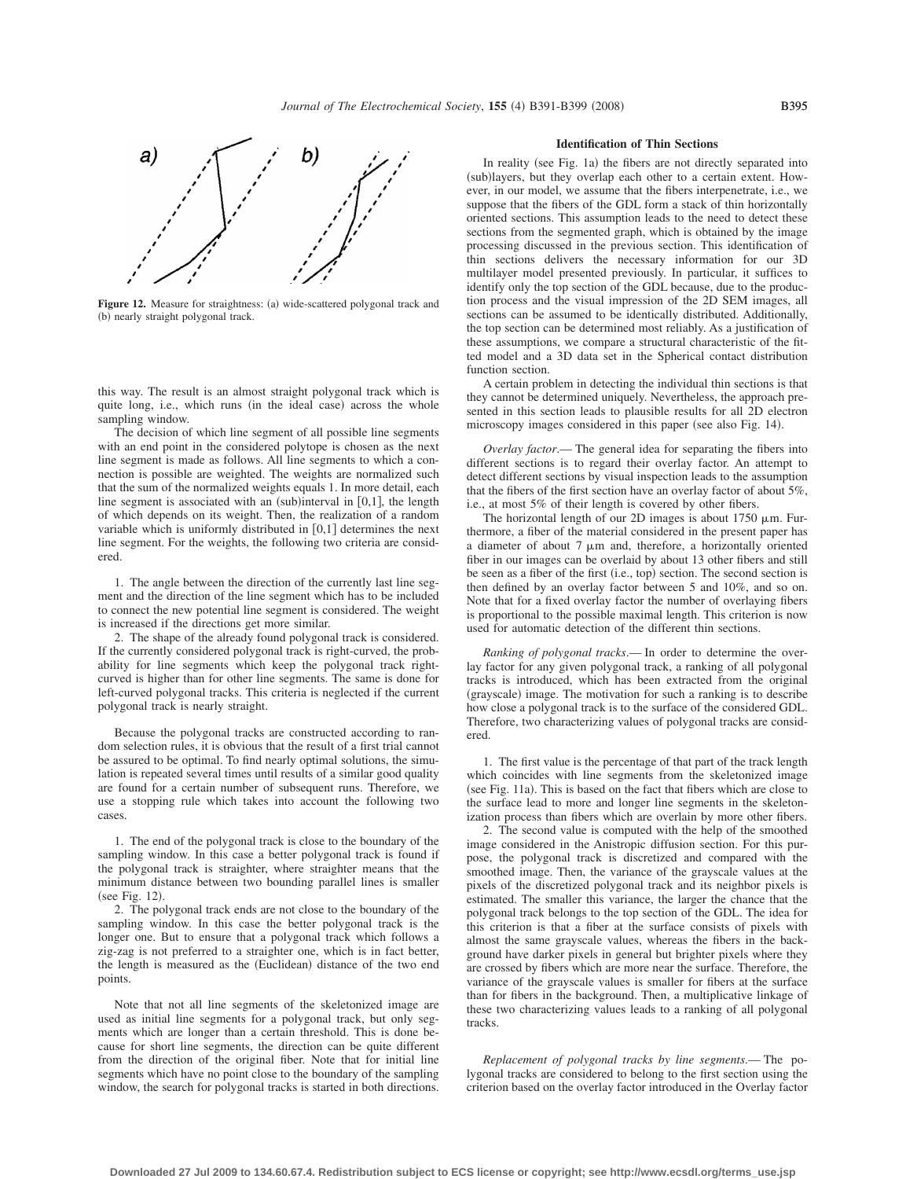

**Figure 12.** Measure for straightness: (a) wide-scattered polygonal track and (b) nearly straight polygonal track.

this way. The result is an almost straight polygonal track which is quite long, i.e., which runs (in the ideal case) across the whole sampling window.

The decision of which line segment of all possible line segments with an end point in the considered polytope is chosen as the next line segment is made as follows. All line segments to which a connection is possible are weighted. The weights are normalized such that the sum of the normalized weights equals 1. In more detail, each line segment is associated with an  $(sub)$ interval in  $[0,1]$ , the length of which depends on its weight. Then, the realization of a random variable which is uniformly distributed in  $[0,1]$  determines the next line segment. For the weights, the following two criteria are considered.

1. The angle between the direction of the currently last line segment and the direction of the line segment which has to be included to connect the new potential line segment is considered. The weight is increased if the directions get more similar.

2. The shape of the already found polygonal track is considered. If the currently considered polygonal track is right-curved, the probability for line segments which keep the polygonal track rightcurved is higher than for other line segments. The same is done for left-curved polygonal tracks. This criteria is neglected if the current polygonal track is nearly straight.

Because the polygonal tracks are constructed according to random selection rules, it is obvious that the result of a first trial cannot be assured to be optimal. To find nearly optimal solutions, the simulation is repeated several times until results of a similar good quality are found for a certain number of subsequent runs. Therefore, we use a stopping rule which takes into account the following two cases.

1. The end of the polygonal track is close to the boundary of the sampling window. In this case a better polygonal track is found if the polygonal track is straighter, where straighter means that the minimum distance between two bounding parallel lines is smaller (see Fig. 12).

2. The polygonal track ends are not close to the boundary of the sampling window. In this case the better polygonal track is the longer one. But to ensure that a polygonal track which follows a zig-zag is not preferred to a straighter one, which is in fact better, the length is measured as the (Euclidean) distance of the two end points.

Note that not all line segments of the skeletonized image are used as initial line segments for a polygonal track, but only segments which are longer than a certain threshold. This is done because for short line segments, the direction can be quite different from the direction of the original fiber. Note that for initial line segments which have no point close to the boundary of the sampling window, the search for polygonal tracks is started in both directions.

# **Identification of Thin Sections**

In reality (see Fig. 1a) the fibers are not directly separated into (sub)layers, but they overlap each other to a certain extent. However, in our model, we assume that the fibers interpenetrate, i.e., we suppose that the fibers of the GDL form a stack of thin horizontally oriented sections. This assumption leads to the need to detect these sections from the segmented graph, which is obtained by the image processing discussed in the previous section. This identification of thin sections delivers the necessary information for our 3D multilayer model presented previously. In particular, it suffices to identify only the top section of the GDL because, due to the production process and the visual impression of the 2D SEM images, all sections can be assumed to be identically distributed. Additionally, the top section can be determined most reliably. As a justification of these assumptions, we compare a structural characteristic of the fitted model and a 3D data set in the Spherical contact distribution function section.

A certain problem in detecting the individual thin sections is that they cannot be determined uniquely. Nevertheless, the approach presented in this section leads to plausible results for all 2D electron microscopy images considered in this paper (see also Fig. 14).

*Overlay factor*.— The general idea for separating the fibers into different sections is to regard their overlay factor. An attempt to detect different sections by visual inspection leads to the assumption that the fibers of the first section have an overlay factor of about 5%, i.e., at most 5% of their length is covered by other fibers.

The horizontal length of our 2D images is about 1750  $\mu$ m. Furthermore, a fiber of the material considered in the present paper has a diameter of about  $7 \mu m$  and, therefore, a horizontally oriented fiber in our images can be overlaid by about 13 other fibers and still be seen as a fiber of the first (i.e., top) section. The second section is then defined by an overlay factor between 5 and 10%, and so on. Note that for a fixed overlay factor the number of overlaying fibers is proportional to the possible maximal length. This criterion is now used for automatic detection of the different thin sections.

*Ranking of polygonal tracks*.— In order to determine the overlay factor for any given polygonal track, a ranking of all polygonal tracks is introduced, which has been extracted from the original (grayscale) image. The motivation for such a ranking is to describe how close a polygonal track is to the surface of the considered GDL. Therefore, two characterizing values of polygonal tracks are considered.

1. The first value is the percentage of that part of the track length which coincides with line segments from the skeletonized image (see Fig. 11a). This is based on the fact that fibers which are close to the surface lead to more and longer line segments in the skeletonization process than fibers which are overlain by more other fibers.

2. The second value is computed with the help of the smoothed image considered in the Anistropic diffusion section. For this purpose, the polygonal track is discretized and compared with the smoothed image. Then, the variance of the grayscale values at the pixels of the discretized polygonal track and its neighbor pixels is estimated. The smaller this variance, the larger the chance that the polygonal track belongs to the top section of the GDL. The idea for this criterion is that a fiber at the surface consists of pixels with almost the same grayscale values, whereas the fibers in the background have darker pixels in general but brighter pixels where they are crossed by fibers which are more near the surface. Therefore, the variance of the grayscale values is smaller for fibers at the surface than for fibers in the background. Then, a multiplicative linkage of these two characterizing values leads to a ranking of all polygonal tracks.

*Replacement of polygonal tracks by line segments*.— The polygonal tracks are considered to belong to the first section using the criterion based on the overlay factor introduced in the Overlay factor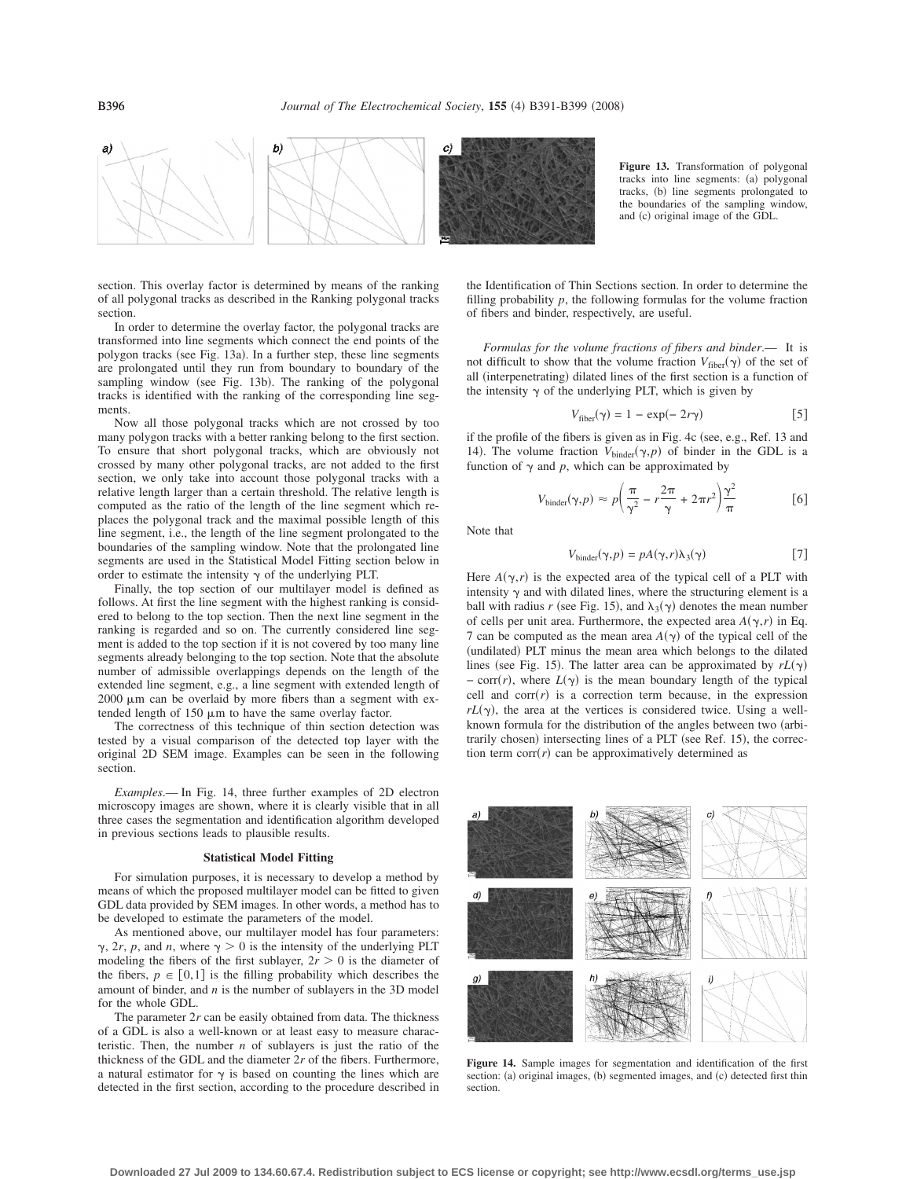

**Figure 13.** Transformation of polygonal tracks into line segments: (a) polygonal tracks, (b) line segments prolongated to the boundaries of the sampling window, and (c) original image of the GDL.

section. This overlay factor is determined by means of the ranking of all polygonal tracks as described in the Ranking polygonal tracks section.

In order to determine the overlay factor, the polygonal tracks are transformed into line segments which connect the end points of the polygon tracks (see Fig. 13a). In a further step, these line segments are prolongated until they run from boundary to boundary of the sampling window (see Fig. 13b). The ranking of the polygonal tracks is identified with the ranking of the corresponding line segments.

Now all those polygonal tracks which are not crossed by too many polygon tracks with a better ranking belong to the first section. To ensure that short polygonal tracks, which are obviously not crossed by many other polygonal tracks, are not added to the first section, we only take into account those polygonal tracks with a relative length larger than a certain threshold. The relative length is computed as the ratio of the length of the line segment which replaces the polygonal track and the maximal possible length of this line segment, i.e., the length of the line segment prolongated to the boundaries of the sampling window. Note that the prolongated line segments are used in the Statistical Model Fitting section below in order to estimate the intensity  $\gamma$  of the underlying PLT.

Finally, the top section of our multilayer model is defined as follows. At first the line segment with the highest ranking is considered to belong to the top section. Then the next line segment in the ranking is regarded and so on. The currently considered line segment is added to the top section if it is not covered by too many line segments already belonging to the top section. Note that the absolute number of admissible overlappings depends on the length of the extended line segment, e.g., a line segment with extended length of  $2000 \mu m$  can be overlaid by more fibers than a segment with extended length of  $150 \mu m$  to have the same overlay factor.

The correctness of this technique of thin section detection was tested by a visual comparison of the detected top layer with the original 2D SEM image. Examples can be seen in the following section.

*Examples*.— In Fig. 14, three further examples of 2D electron microscopy images are shown, where it is clearly visible that in all three cases the segmentation and identification algorithm developed in previous sections leads to plausible results.

# **Statistical Model Fitting**

For simulation purposes, it is necessary to develop a method by means of which the proposed multilayer model can be fitted to given GDL data provided by SEM images. In other words, a method has to be developed to estimate the parameters of the model.

As mentioned above, our multilayer model has four parameters:  $\gamma$ , 2*r*, *p*, and *n*, where  $\gamma > 0$  is the intensity of the underlying PLT modeling the fibers of the first sublayer,  $2r > 0$  is the diameter of the fibers,  $p \in [0,1]$  is the filling probability which describes the amount of binder, and *n* is the number of sublayers in the 3D model for the whole GDL.

The parameter 2r can be easily obtained from data. The thickness of a GDL is also a well-known or at least easy to measure characteristic. Then, the number  $n$  of sublayers is just the ratio of the thickness of the GDL and the diameter 2*r* of the fibers. Furthermore, a natural estimator for  $\gamma$  is based on counting the lines which are detected in the first section, according to the procedure described in

the Identification of Thin Sections section. In order to determine the filling probability  $p$ , the following formulas for the volume fraction of fibers and binder, respectively, are useful.

*Formulas for the volume fractions of fibers and binder*.— It is not difficult to show that the volume fraction  $V_{\text{fiber}}(\gamma)$  of the set of all (interpenetrating) dilated lines of the first section is a function of the intensity  $\gamma$  of the underlying PLT, which is given by

$$
V_{\text{fiber}}(\gamma) = 1 - \exp(-2r\gamma) \tag{5}
$$

if the profile of the fibers is given as in Fig. 4c (see, e.g., Ref. 13 and 14). The volume fraction  $V_{\text{binder}}(\gamma, p)$  of binder in the GDL is a function of  $\gamma$  and p, which can be approximated by

$$
V_{\text{binder}}(\gamma, p) \approx p \left( \frac{\pi}{\gamma^2} - r \frac{2\pi}{\gamma} + 2\pi r^2 \right) \frac{\gamma^2}{\pi}
$$
 [6]

Note that

$$
V_{\text{binder}}(\gamma, p) = pA(\gamma, r)\lambda_3(\gamma) \tag{7}
$$

Here  $A(\gamma, r)$  is the expected area of the typical cell of a PLT with intensity  $\gamma$  and with dilated lines, where the structuring element is a ball with radius *r* (see Fig. 15), and  $\lambda_3(\gamma)$  denotes the mean number of cells per unit area. Furthermore, the expected area  $A(\gamma, r)$  in Eq. 7 can be computed as the mean area  $A(\gamma)$  of the typical cell of the (undilated) PLT minus the mean area which belongs to the dilated lines (see Fig. 15). The latter area can be approximated by  $rL(\gamma)$  $-$  corr $(r)$ , where  $L(\gamma)$  is the mean boundary length of the typical cell and  $corr(r)$  is a correction term because, in the expression  $rL(\gamma)$ , the area at the vertices is considered twice. Using a wellknown formula for the distribution of the angles between two (arbitrarily chosen) intersecting lines of a PLT (see Ref. 15), the correction term  $corr(r)$  can be approximatively determined as



**Figure 14.** Sample images for segmentation and identification of the first section: (a) original images, (b) segmented images, and (c) detected first thin section.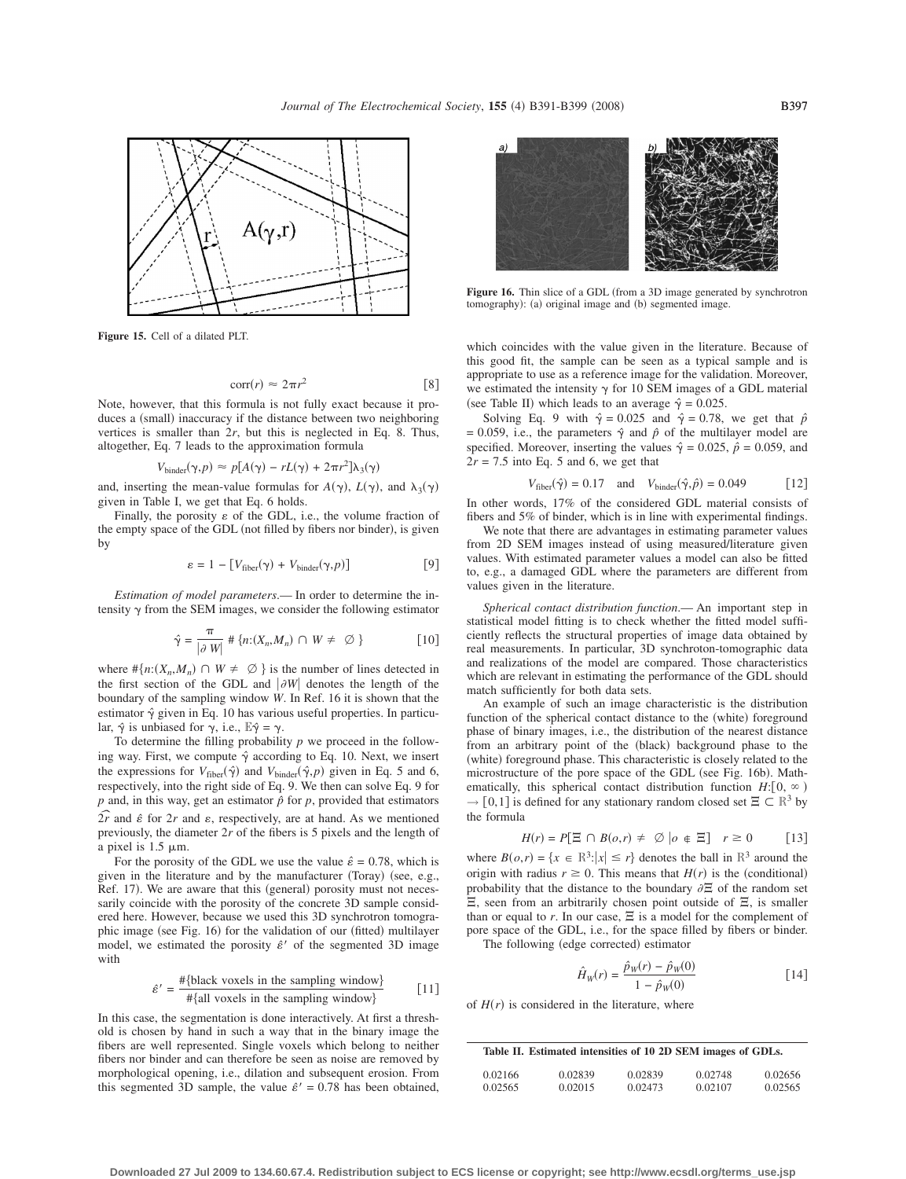

**Figure 15.** Cell of a dilated PLT.

$$
corr(r) \approx 2\pi r^2
$$
 [8]

Note, however, that this formula is not fully exact because it produces a (small) inaccuracy if the distance between two neighboring vertices is smaller than 2*r*, but this is neglected in Eq. 8. Thus, altogether, Eq. 7 leads to the approximation formula

$$
V_{\text{binder}}(\gamma, p) \approx p[A(\gamma) - rL(\gamma) + 2\pi r^2] \lambda_3(\gamma)
$$

and, inserting the mean-value formulas for  $A(\gamma)$ ,  $L(\gamma)$ , and  $\lambda_3(\gamma)$ given in Table I, we get that Eq. 6 holds.

Finally, the porosity  $\varepsilon$  of the GDL, i.e., the volume fraction of the empty space of the GDL (not filled by fibers nor binder), is given by

$$
\varepsilon = 1 - [V_{\text{fiber}}(\gamma) + V_{\text{binder}}(\gamma, p)] \tag{9}
$$

*Estimation of model parameters*.— In order to determine the intensity  $\gamma$  from the SEM images, we consider the following estimator

$$
\hat{\gamma} = \frac{\pi}{|\partial W|} \# \{ n : (X_n, M_n) \cap W \neq \emptyset \}
$$
 [10]

where  $\#\{n:(X_n,M_n) \cap W \neq \emptyset\}$  is the number of lines detected in the first section of the GDL and  $|\partial W|$  denotes the length of the boundary of the sampling window *W*. In Ref. 16 it is shown that the estimator  $\hat{\gamma}$  given in Eq. 10 has various useful properties. In particular,  $\hat{\gamma}$  is unbiased for  $\gamma$ , i.e.,  $E\hat{\gamma} = \gamma$ .

To determine the filling probability *p* we proceed in the following way. First, we compute  $\hat{\gamma}$  according to Eq. 10. Next, we insert the expressions for  $V_{\text{fiber}}(\hat{\gamma})$  and  $V_{\text{binder}}(\hat{\gamma}, p)$  given in Eq. 5 and 6, respectively, into the right side of Eq. 9. We then can solve Eq. 9 for  *and, in this way, get an estimator*  $\hat{p}$  *for*  $p$ *, provided that estimators*  $2r$  and  $\hat{\epsilon}$  for  $2r$  and  $\epsilon$ , respectively, are at hand. As we mentioned previously, the diameter 2*r* of the fibers is 5 pixels and the length of a pixel is  $1.5 \mu m$ .

For the porosity of the GDL we use the value  $\hat{\epsilon} = 0.78$ , which is given in the literature and by the manufacturer (Toray) (see, e.g., Ref. 17). We are aware that this (general) porosity must not necessarily coincide with the porosity of the concrete 3D sample considered here. However, because we used this 3D synchrotron tomographic image (see Fig. 16) for the validation of our (fitted) multilayer model, we estimated the porosity  $\hat{\varepsilon}'$  of the segmented 3D image with

$$
\hat{\varepsilon}' = \frac{\#\{\text{black voxels in the sampling window}\}}{\#\{\text{all voxels in the sampling window}\}} \qquad [11]
$$

In this case, the segmentation is done interactively. At first a threshold is chosen by hand in such a way that in the binary image the fibers are well represented. Single voxels which belong to neither fibers nor binder and can therefore be seen as noise are removed by morphological opening, i.e., dilation and subsequent erosion. From this segmented 3D sample, the value  $\hat{\varepsilon}' = 0.78$  has been obtained,



Figure 16. Thin slice of a GDL (from a 3D image generated by synchrotron tomography): (a) original image and (b) segmented image.

which coincides with the value given in the literature. Because of this good fit, the sample can be seen as a typical sample and is appropriate to use as a reference image for the validation. Moreover, we estimated the intensity  $\gamma$  for 10 SEM images of a GDL material (see Table II) which leads to an average  $\hat{\gamma} = 0.025$ .

Solving Eq. 9 with  $\hat{\gamma} = 0.025$  and  $\hat{\gamma} = 0.78$ , we get that  $\hat{p}$ = 0.059, i.e., the parameters  $\hat{\gamma}$  and  $\hat{p}$  of the multilayer model are specified. Moreover, inserting the values  $\hat{\gamma} = 0.025$ ,  $\hat{p} = 0.059$ , and  $2r = 7.5$  into Eq. 5 and 6, we get that

$$
V_{\text{fiber}}(\hat{\gamma}) = 0.17 \quad \text{and} \quad V_{\text{binder}}(\hat{\gamma}, \hat{p}) = 0.049 \tag{12}
$$

In other words, 17% of the considered GDL material consists of fibers and 5% of binder, which is in line with experimental findings.

We note that there are advantages in estimating parameter values from 2D SEM images instead of using measured/literature given values. With estimated parameter values a model can also be fitted to, e.g., a damaged GDL where the parameters are different from values given in the literature.

*Spherical contact distribution function*.— An important step in statistical model fitting is to check whether the fitted model sufficiently reflects the structural properties of image data obtained by real measurements. In particular, 3D synchroton-tomographic data and realizations of the model are compared. Those characteristics which are relevant in estimating the performance of the GDL should match sufficiently for both data sets.

An example of such an image characteristic is the distribution function of the spherical contact distance to the (white) foreground phase of binary images, i.e., the distribution of the nearest distance from an arbitrary point of the (black) background phase to the (white) foreground phase. This characteristic is closely related to the microstructure of the pore space of the GDL (see Fig. 16b). Mathematically, this spherical contact distribution function  $H: [0, \infty)$  $\rightarrow$  [0,1] is defined for any stationary random closed set  $\Xi \subset \mathbb{R}^3$  by the formula

$$
H(r) = P[\Xi \cap B(o,r) \neq \emptyset \mid o \in \Xi] \quad r \geq 0 \quad [13]
$$

where  $B(o,r) = \{x \in \mathbb{R}^3 : |x| \le r\}$  denotes the ball in  $\mathbb{R}^3$  around the origin with radius  $r \ge 0$ . This means that  $H(r)$  is the (conditional) probability that the distance to the boundary  $\partial \Xi$  of the random set  $\Xi$ , seen from an arbitrarily chosen point outside of  $\Xi$ , is smaller than or equal to  $r$ . In our case,  $\Xi$  is a model for the complement of pore space of the GDL, i.e., for the space filled by fibers or binder.

The following (edge corrected) estimator

$$
\hat{H}_W(r) = \frac{\hat{p}_W(r) - \hat{p}_W(0)}{1 - \hat{p}_W(0)} \tag{14}
$$

of  $H(r)$  is considered in the literature, where

| Table II. Estimated intensities of 10 2D SEM images of GDLs. |         |         |         |         |  |  |
|--------------------------------------------------------------|---------|---------|---------|---------|--|--|
| 0.02166                                                      | 0.02839 | 0.02839 | 0.02748 | 0.02656 |  |  |
| 0.02565                                                      | 0.02015 | 0.02473 | 0.02107 | 0.02565 |  |  |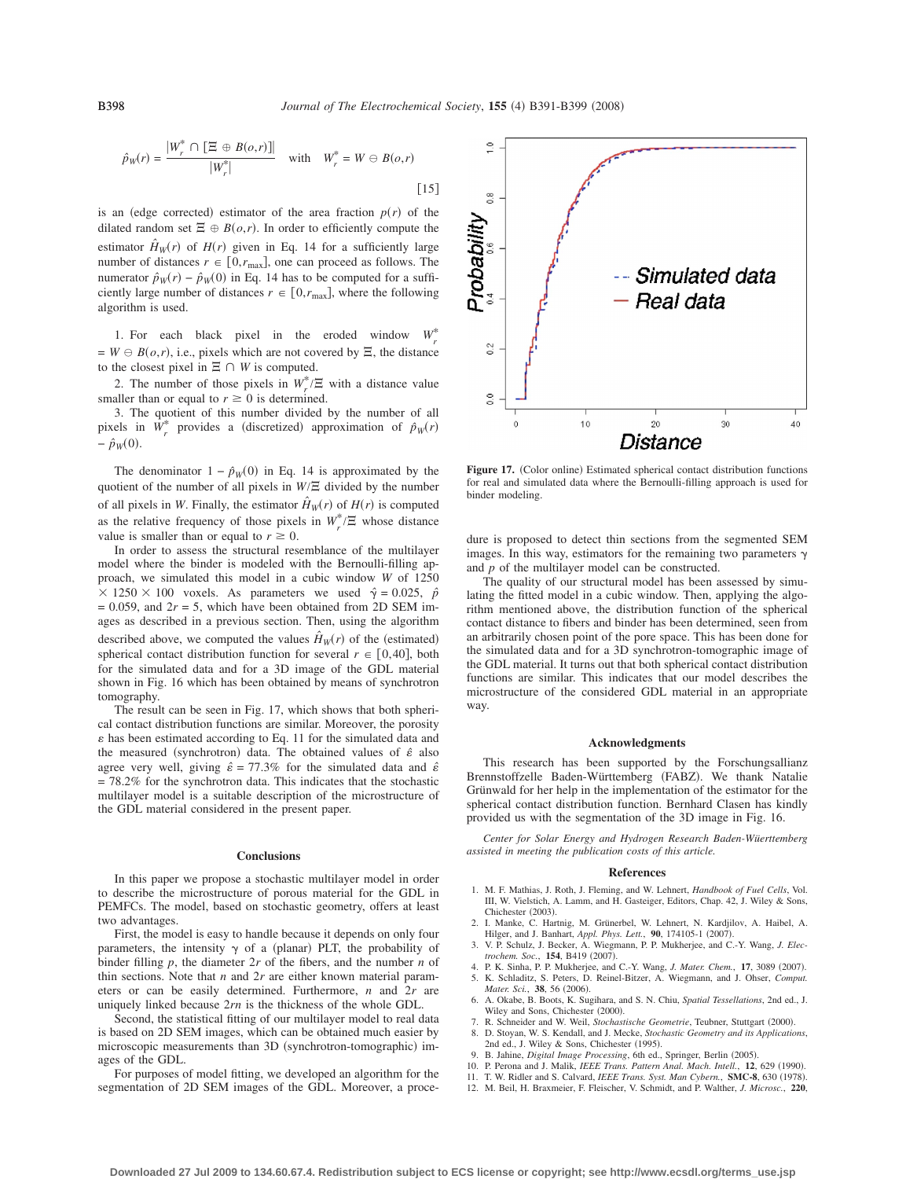$$
\hat{p}_W(r) = \frac{|W_r^* \cap [\Xi \oplus B(o, r)]|}{|W_r^*|} \quad \text{with} \quad W_r^* = W \ominus B(o, r)
$$
\n[15]

is an (edge corrected) estimator of the area fraction  $p(r)$  of the dilated random set  $\Xi \oplus B(o,r)$ . In order to efficiently compute the estimator  $\hat{H}_W(r)$  of  $H(r)$  given in Eq. 14 for a sufficiently large number of distances  $r \in [0, r_{\text{max}}]$ , one can proceed as follows. The numerator  $\hat{p}_W(r) - \hat{p}_W(0)$  in Eq. 14 has to be computed for a sufficiently large number of distances  $r \in [0,r_{\text{max}}]$ , where the following algorithm is used.

1. For each black pixel in the eroded window  $W_r^*$  $= W \ominus B(o,r)$ , i.e., pixels which are not covered by  $\Xi$ , the distance to the closest pixel in  $\Xi \cap W$  is computed.

2. The number of those pixels in  $W_r^*/\Xi$  with a distance value smaller than or equal to  $r \geq 0$  is determined.

3. The quotient of this number divided by the number of all pixels in  $\overline{W}_r^*$  provides a (discretized) approximation of  $\hat{p}_W(r)$  $-\hat{p}_W(0)$ .

The denominator  $1 - \hat{p}_W(0)$  in Eq. 14 is approximated by the quotient of the number of all pixels in  $W/\Xi$  divided by the number of all pixels in *W*. Finally, the estimator  $\hat{H}_W(r)$  of  $H(r)$  is computed as the relative frequency of those pixels in  $W_r^*/\Xi$  whose distance value is smaller than or equal to  $r \geq 0$ .

In order to assess the structural resemblance of the multilayer model where the binder is modeled with the Bernoulli-filling approach, we simulated this model in a cubic window *W* of 1250  $\times$  1250  $\times$  100 voxels. As parameters we used  $\hat{\gamma} = 0.025$ ,  $\hat{p}$  $= 0.059$ , and  $2r = 5$ , which have been obtained from 2D SEM images as described in a previous section. Then, using the algorithm described above, we computed the values  $\hat{H}_W(r)$  of the (estimated) spherical contact distribution function for several  $r \in [0,40]$ , both for the simulated data and for a 3D image of the GDL material shown in Fig. 16 which has been obtained by means of synchrotron tomography.

The result can be seen in Fig. 17, which shows that both spherical contact distribution functions are similar. Moreover, the porosity  $\varepsilon$  has been estimated according to Eq. 11 for the simulated data and the measured (synchrotron) data. The obtained values of  $\hat{\epsilon}$  also agree very well, giving  $\hat{\varepsilon} = 77.3\%$  for the simulated data and  $\hat{\varepsilon}$  $= 78.2\%$  for the synchrotron data. This indicates that the stochastic multilayer model is a suitable description of the microstructure of the GDL material considered in the present paper.

## **Conclusions**

In this paper we propose a stochastic multilayer model in order to describe the microstructure of porous material for the GDL in PEMFCs. The model, based on stochastic geometry, offers at least two advantages.

First, the model is easy to handle because it depends on only four parameters, the intensity  $\gamma$  of a (planar) PLT, the probability of binder filling *p*, the diameter 2*r* of the fibers, and the number *n* of thin sections. Note that *n* and 2*r* are either known material parameters or can be easily determined. Furthermore, *n* and 2*r* are uniquely linked because 2*rn* is the thickness of the whole GDL.

Second, the statistical fitting of our multilayer model to real data is based on 2D SEM images, which can be obtained much easier by microscopic measurements than 3D (synchrotron-tomographic) images of the GDL.

For purposes of model fitting, we developed an algorithm for the segmentation of 2D SEM images of the GDL. Moreover, a proce-

 $\frac{0}{1}$  $\frac{8}{5}$ Probability Simulated data - Real data  $\overline{0}$ . S  $20\,$  $10$ 30 40 Distance

Figure 17. (Color online) Estimated spherical contact distribution functions for real and simulated data where the Bernoulli-filling approach is used for binder modeling.

dure is proposed to detect thin sections from the segmented SEM images. In this way, estimators for the remaining two parameters  $\gamma$ and *p* of the multilayer model can be constructed.

The quality of our structural model has been assessed by simulating the fitted model in a cubic window. Then, applying the algorithm mentioned above, the distribution function of the spherical contact distance to fibers and binder has been determined, seen from an arbitrarily chosen point of the pore space. This has been done for the simulated data and for a 3D synchrotron-tomographic image of the GDL material. It turns out that both spherical contact distribution functions are similar. This indicates that our model describes the microstructure of the considered GDL material in an appropriate way.

#### **Acknowledgments**

This research has been supported by the Forschungsallianz Brennstoffzelle Baden-Württemberg (FABZ). We thank Natalie Grünwald for her help in the implementation of the estimator for the spherical contact distribution function. Bernhard Clasen has kindly provided us with the segmentation of the 3D image in Fig. 16.

*Center for Solar Energy and Hydrogen Research Baden-Wüerttemberg assisted in meeting the publication costs of this article.*

#### **References**

- 1. M. F. Mathias, J. Roth, J. Fleming, and W. Lehnert, *Handbook of Fuel Cells*, Vol. III, W. Vielstich, A. Lamm, and H. Gasteiger, Editors, Chap. 42, J. Wiley & Sons, Chichester (2003).
- 2. I. Manke, C. Hartnig, M. Grünerbel, W. Lehnert, N. Kardjilov, A. Haibel, A. Hilger, and J. Banhart, *Appl. Phys. Lett.*, **90**, 174105-1 (2007).<br>3. V. P. Schulz, J. Becker, A. Wiegmann, P. P. Mukherjee, and C.-Y. Wang,
- trochem. Soc., 154, B419 (2007).
- 4. P. K. Sinha, P. P. Mukherjee, and C.-Y. Wang, *J. Mater. Chem.*, 17, 3089 (2007). 5. K. Schladitz, S. Peters, D. Reinel-Bitzer, A. Wiegmann, and J. Ohser, *Comput.*
- *Mater. Sci.*, 38, 56 (2006). 6. A. Okabe, B. Boots, K. Sugihara, and S. N. Chiu, *Spatial Tessellations*, 2nd ed., J. Wiley and Sons, Chichester (2000).
- 7. R. Schneider and W. Weil, Stochastische Geometrie, Teubner, Stuttgart (2000).
- 8. D. Stoyan, W. S. Kendall, and J. Mecke, *Stochastic Geometry and its Applications*, 2nd ed., J. Wiley & Sons, Chichester (1995).
- 
- 9. B. Jahine, *Digital Image Processing*, 6th ed., Springer, Berlin (2005).<br>10. P. Perona and J. Malik, *IEEE Trans. Pattern Anal. Mach. Intell.*, 12, 629 (1990).<br>11. T. W. Ridler and S. Calvard, *IEEE Trans. Syst. Man Cyb*
- 
- 12. M. Beil, H. Braxmeier, F. Fleischer, V. Schmidt, and P. Walther, *J. Microsc.*, **220**,